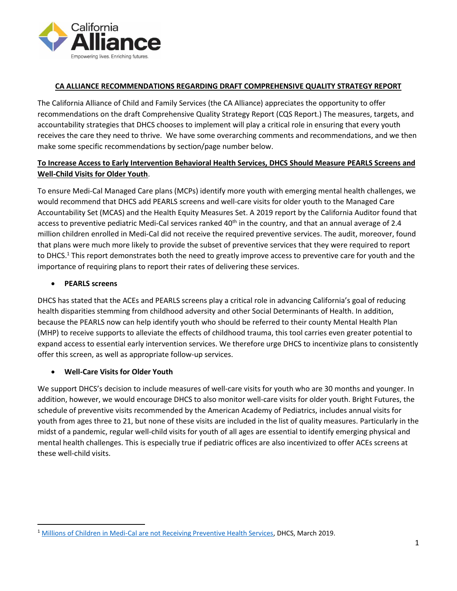

### **CA ALLIANCE RECOMMENDATIONS REGARDING DRAFT COMPREHENSIVE QUALITY STRATEGY REPORT**

The California Alliance of Child and Family Services (the CA Alliance) appreciates the opportunity to offer recommendations on the draft Comprehensive Quality Strategy Report (CQS Report.) The measures, targets, and accountability strategies that DHCS chooses to implement will play a critical role in ensuring that every youth receives the care they need to thrive. We have some overarching comments and recommendations, and we then make some specific recommendations by section/page number below.

## **To Increase Access to Early Intervention Behavioral Health Services, DHCS Should Measure PEARLS Screens and Well-Child Visits for Older Youth**.

To ensure Medi-Cal Managed Care plans (MCPs) identify more youth with emerging mental health challenges, we would recommend that DHCS add PEARLS screens and well-care visits for older youth to the Managed Care Accountability Set (MCAS) and the Health Equity Measures Set. A 2019 report by the California Auditor found that access to preventive pediatric Medi-Cal services ranked 40<sup>th</sup> in the country, and that an annual average of 2.4 million children enrolled in Medi-Cal did not receive the required preventive services. The audit, moreover, found that plans were much more likely to provide the subset of preventive services that they were required to report to DHCS.<sup>1</sup> This report demonstrates both the need to greatly improve access to preventive care for youth and the importance of requiring plans to report their rates of delivering these services.

## • **PEARLS screens**

DHCS has stated that the ACEs and PEARLS screens play a critical role in advancing California's goal of reducing health disparities stemming from childhood adversity and other Social Determinants of Health. In addition, because the PEARLS now can help identify youth who should be referred to their county Mental Health Plan (MHP) to receive supports to alleviate the effects of childhood trauma, this tool carries even greater potential to expand access to essential early intervention services. We therefore urge DHCS to incentivize plans to consistently offer this screen, as well as appropriate follow-up services.

# • **Well-Care Visits for Older Youth**

We support DHCS's decision to include measures of well-care visits for youth who are 30 months and younger. In addition, however, we would encourage DHCS to also monitor well-care visits for older youth. Bright Futures, the schedule of preventive visits recommended by the American Academy of Pediatrics, includes annual visits for youth from ages three to 21, but none of these visits are included in the list of quality measures. Particularly in the midst of a pandemic, regular well-child visits for youth of all ages are essential to identify emerging physical and mental health challenges. This is especially true if pediatric offices are also incentivized to offer ACEs screens at these well-child visits.

<sup>1</sup> [Millions of Children in Medi-Cal are not Receiving Preventive Health Services,](https://www.auditor.ca.gov/pdfs/reports/2018-111.pdf) DHCS, March 2019.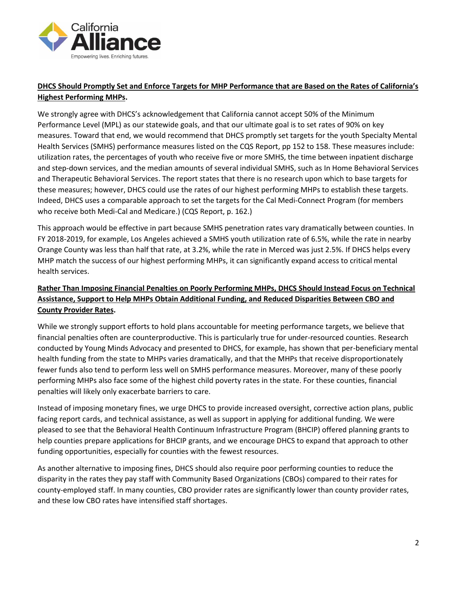

# **DHCS Should Promptly Set and Enforce Targets for MHP Performance that are Based on the Rates of California's Highest Performing MHPs.**

We strongly agree with DHCS's acknowledgement that California cannot accept 50% of the Minimum Performance Level (MPL) as our statewide goals, and that our ultimate goal is to set rates of 90% on key measures. Toward that end, we would recommend that DHCS promptly set targets for the youth Specialty Mental Health Services (SMHS) performance measures listed on the CQS Report, pp 152 to 158. These measures include: utilization rates, the percentages of youth who receive five or more SMHS, the time between inpatient discharge and step-down services, and the median amounts of several individual SMHS, such as In Home Behavioral Services and Therapeutic Behavioral Services. The report states that there is no research upon which to base targets for these measures; however, DHCS could use the rates of our highest performing MHPs to establish these targets. Indeed, DHCS uses a comparable approach to set the targets for the Cal Medi-Connect Program (for members who receive both Medi-Cal and Medicare.) (CQS Report, p. 162.)

This approach would be effective in part because SMHS penetration rates vary dramatically between counties. In FY 2018-2019, for example, Los Angeles achieved a SMHS youth utilization rate of 6.5%, while the rate in nearby Orange County was less than half that rate, at 3.2%, while the rate in Merced was just 2.5%. If DHCS helps every MHP match the success of our highest performing MHPs, it can significantly expand access to critical mental health services.

# **Rather Than Imposing Financial Penalties on Poorly Performing MHPs, DHCS Should Instead Focus on Technical Assistance, Support to Help MHPs Obtain Additional Funding, and Reduced Disparities Between CBO and County Provider Rates.**

While we strongly support efforts to hold plans accountable for meeting performance targets, we believe that financial penalties often are counterproductive. This is particularly true for under-resourced counties. Research conducted by Young Minds Advocacy and presented to DHCS, for example, has shown that per-beneficiary mental health funding from the state to MHPs varies dramatically, and that the MHPs that receive disproportionately fewer funds also tend to perform less well on SMHS performance measures. Moreover, many of these poorly performing MHPs also face some of the highest child poverty rates in the state. For these counties, financial penalties will likely only exacerbate barriers to care.

Instead of imposing monetary fines, we urge DHCS to provide increased oversight, corrective action plans, public facing report cards, and technical assistance, as well as support in applying for additional funding. We were pleased to see that the Behavioral Health Continuum Infrastructure Program (BHCIP) offered planning grants to help counties prepare applications for BHCIP grants, and we encourage DHCS to expand that approach to other funding opportunities, especially for counties with the fewest resources.

As another alternative to imposing fines, DHCS should also require poor performing counties to reduce the disparity in the rates they pay staff with Community Based Organizations (CBOs) compared to their rates for county-employed staff. In many counties, CBO provider rates are significantly lower than county provider rates, and these low CBO rates have intensified staff shortages.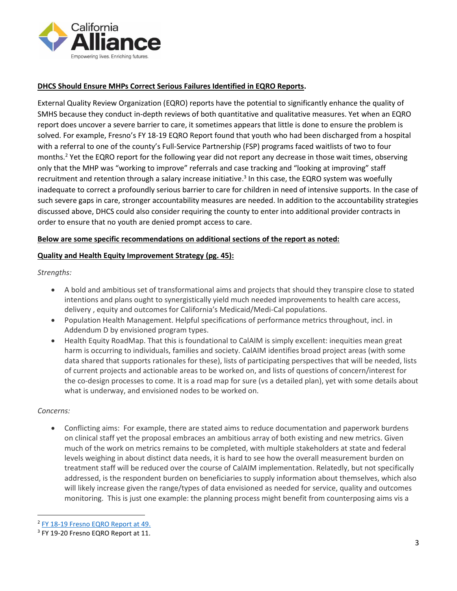

### **DHCS Should Ensure MHPs Correct Serious Failures Identified in EQRO Reports.**

External Quality Review Organization (EQRO) reports have the potential to significantly enhance the quality of SMHS because they conduct in-depth reviews of both quantitative and qualitative measures. Yet when an EQRO report does uncover a severe barrier to care, it sometimes appears that little is done to ensure the problem is solved. For example, Fresno's FY 18-19 EQRO Report found that youth who had been discharged from a hospital with a referral to one of the county's Full-Service Partnership (FSP) programs faced waitlists of two to four months.<sup>2</sup> Yet the EQRO report for the following year did not report any decrease in those wait times, observing only that the MHP was "working to improve" referrals and case tracking and "looking at improving" staff recruitment and retention through a salary increase initiative.<sup>3</sup> In this case, the EQRO system was woefully inadequate to correct a profoundly serious barrier to care for children in need of intensive supports. In the case of such severe gaps in care, stronger accountability measures are needed. In addition to the accountability strategies discussed above, DHCS could also consider requiring the county to enter into additional provider contracts in order to ensure that no youth are denied prompt access to care.

#### **Below are some specific recommendations on additional sections of the report as noted:**

#### **Quality and Health Equity Improvement Strategy (pg. 45):**

*Strengths:*

- A bold and ambitious set of transformational aims and projects that should they transpire close to stated intentions and plans ought to synergistically yield much needed improvements to health care access, delivery , equity and outcomes for California's Medicaid/Medi-Cal populations.
- Population Health Management. Helpful specifications of performance metrics throughout, incl. in Addendum D by envisioned program types.
- Health Equity RoadMap. That this is foundational to CalAIM is simply excellent: inequities mean great harm is occurring to individuals, families and society. CalAIM identifies broad project areas (with some data shared that supports rationales for these), lists of participating perspectives that will be needed, lists of current projects and actionable areas to be worked on, and lists of questions of concern/interest for the co-design processes to come. It is a road map for sure (vs a detailed plan), yet with some details about what is underway, and envisioned nodes to be worked on.

#### *Concerns:*

• Conflicting aims: For example, there are stated aims to reduce documentation and paperwork burdens on clinical staff yet the proposal embraces an ambitious array of both existing and new metrics. Given much of the work on metrics remains to be completed, with multiple stakeholders at state and federal levels weighing in about distinct data needs, it is hard to see how the overall measurement burden on treatment staff will be reduced over the course of CalAIM implementation. Relatedly, but not specifically addressed, is the respondent burden on beneficiaries to supply information about themselves, which also will likely increase given the range/types of data envisioned as needed for service, quality and outcomes monitoring. This is just one example: the planning process might benefit from counterposing aims vis a

<sup>&</sup>lt;sup>2</sup> [FY 18-19 Fresno EQRO Report](https://www.co.fresno.ca.us/Home/ShowDocument?id=34966) at 49.

<sup>&</sup>lt;sup>3</sup> FY 19-20 Fresno EQRO Report at 11.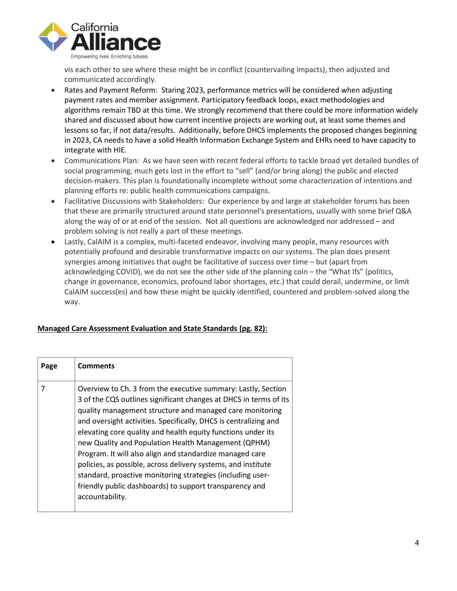

vis each other to see where these might be in conflict (countervailing impacts), then adjusted and communicated accordingly.

- Rates and Payment Reform: Staring 2023, performance metrics will be considered when adjusting payment rates and member assignment. Participatory feedback loops, exact methodologies and algorithms remain TBD at this time. We strongly recommend that there could be more information widely shared and discussed about how current incentive projects are working out, at least some themes and lessons so far, if not data/results. Additionally, before DHCS implements the proposed changes beginning in 2023, CA needs to have a solid Health Information Exchange System and EHRs need to have capacity to integrate with HIE.
- Communications Plan: As we have seen with recent federal efforts to tackle broad yet detailed bundles of social programming, much gets lost in the effort to "sell" (and/or bring along) the public and elected decision-makers. This plan is foundationally incomplete without some characterization of intentions and planning efforts re: public health communications campaigns.
- Facilitative Discussions with Stakeholders: Our experience by and large at stakeholder forums has been that these are primarily structured around state personnel's presentations, usually with some brief Q&A along the way of or at end of the session. Not all questions are acknowledged nor addressed – and problem solving is not really a part of these meetings.
- Lastly, CalAIM is a complex, multi-faceted endeavor, involving many people, many resources with potentially profound and desirable transformative impacts on our systems. The plan does present synergies among initiatives that ought be facilitative of success over time – but (apart from acknowledging COVID), we do not see the other side of the planning coin – the "What Ifs" (politics, change in governance, economics, profound labor shortages, etc.) that could derail, undermine, or limit CalAIM success(es) and how these might be quickly identified, countered and problem-solved along the way.

### **Managed Care Assessment Evaluation and State Standards (pg. 82):**

| Page | <b>Comments</b>                                                                                                                                                                                                                                                                                                                                                                                                                                                                                                                                                                                                                                                    |
|------|--------------------------------------------------------------------------------------------------------------------------------------------------------------------------------------------------------------------------------------------------------------------------------------------------------------------------------------------------------------------------------------------------------------------------------------------------------------------------------------------------------------------------------------------------------------------------------------------------------------------------------------------------------------------|
|      | Overview to Ch. 3 from the executive summary: Lastly, Section<br>3 of the CQS outlines significant changes at DHCS in terms of its<br>quality management structure and managed care monitoring<br>and oversight activities. Specifically, DHCS is centralizing and<br>elevating core quality and health equity functions under its<br>new Quality and Population Health Management (QPHM)<br>Program. It will also align and standardize managed care<br>policies, as possible, across delivery systems, and institute<br>standard, proactive monitoring strategies (including user-<br>friendly public dashboards) to support transparency and<br>accountability. |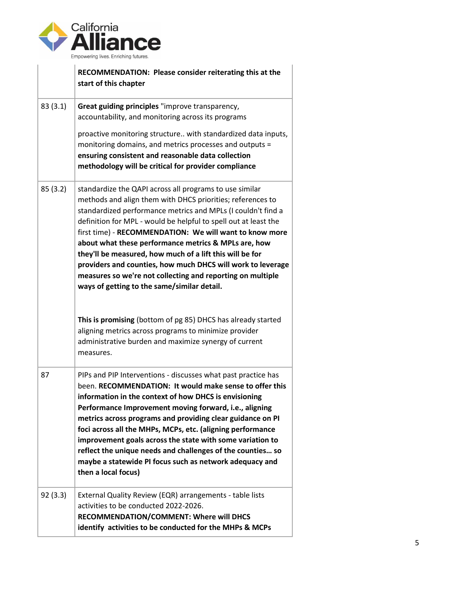

|         | RECOMMENDATION: Please consider reiterating this at the<br>start of this chapter                                                                                                                                                                                                                                                                                                                                                                                                                                                                                                                                                                                                    |
|---------|-------------------------------------------------------------------------------------------------------------------------------------------------------------------------------------------------------------------------------------------------------------------------------------------------------------------------------------------------------------------------------------------------------------------------------------------------------------------------------------------------------------------------------------------------------------------------------------------------------------------------------------------------------------------------------------|
| 83(3.1) | Great guiding principles "improve transparency,<br>accountability, and monitoring across its programs<br>proactive monitoring structure with standardized data inputs,                                                                                                                                                                                                                                                                                                                                                                                                                                                                                                              |
|         | monitoring domains, and metrics processes and outputs =<br>ensuring consistent and reasonable data collection<br>methodology will be critical for provider compliance                                                                                                                                                                                                                                                                                                                                                                                                                                                                                                               |
| 85(3.2) | standardize the QAPI across all programs to use similar<br>methods and align them with DHCS priorities; references to<br>standardized performance metrics and MPLs (I couldn't find a<br>definition for MPL - would be helpful to spell out at least the<br>first time) - RECOMMENDATION: We will want to know more<br>about what these performance metrics & MPLs are, how<br>they'll be measured, how much of a lift this will be for<br>providers and counties, how much DHCS will work to leverage<br>measures so we're not collecting and reporting on multiple<br>ways of getting to the same/similar detail.<br>This is promising (bottom of pg 85) DHCS has already started |
|         | aligning metrics across programs to minimize provider<br>administrative burden and maximize synergy of current<br>measures.                                                                                                                                                                                                                                                                                                                                                                                                                                                                                                                                                         |
| 87      | PIPs and PIP Interventions - discusses what past practice has<br>been. RECOMMENDATION: It would make sense to offer this<br>information in the context of how DHCS is envisioning<br>Performance Improvement moving forward, i.e., aligning<br>metrics across programs and providing clear guidance on PI<br>foci across all the MHPs, MCPs, etc. (aligning performance<br>improvement goals across the state with some variation to<br>reflect the unique needs and challenges of the counties so<br>maybe a statewide PI focus such as network adequacy and<br>then a local focus)                                                                                                |
| 92(3.3) | External Quality Review (EQR) arrangements - table lists<br>activities to be conducted 2022-2026.<br>RECOMMENDATION/COMMENT: Where will DHCS<br>identify activities to be conducted for the MHPs & MCPs                                                                                                                                                                                                                                                                                                                                                                                                                                                                             |